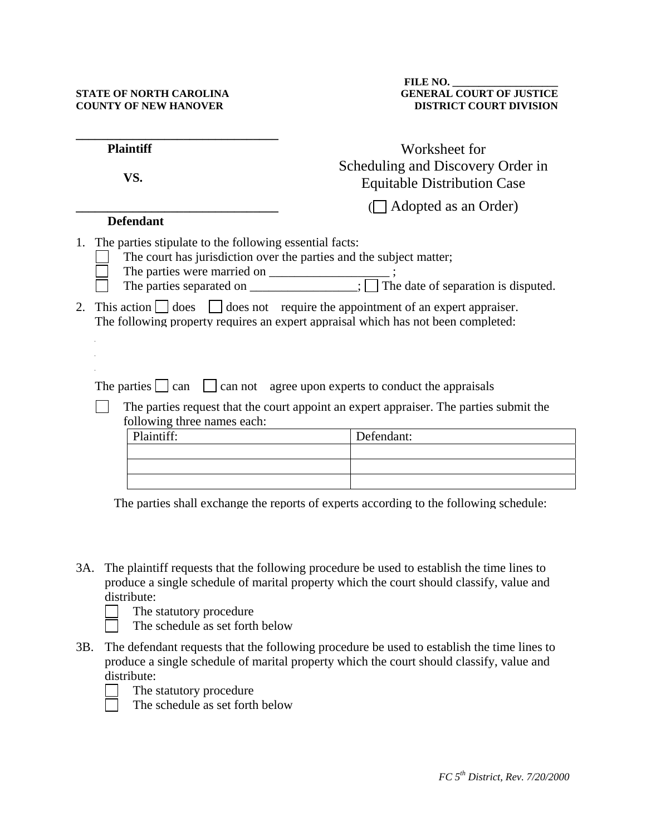## **STATE OF NORTH CAROLINA COUNTY OF NEW HANOVER**

| <b>Plaintiff</b> |                                                                                                                       | Worksheet for                                                                                                                                                                                                                                                                                                                                 |  |  |  |
|------------------|-----------------------------------------------------------------------------------------------------------------------|-----------------------------------------------------------------------------------------------------------------------------------------------------------------------------------------------------------------------------------------------------------------------------------------------------------------------------------------------|--|--|--|
|                  | VS.                                                                                                                   | Scheduling and Discovery Order in<br><b>Equitable Distribution Case</b>                                                                                                                                                                                                                                                                       |  |  |  |
|                  | <b>Defendant</b>                                                                                                      | $\Box$ Adopted as an Order)                                                                                                                                                                                                                                                                                                                   |  |  |  |
|                  |                                                                                                                       |                                                                                                                                                                                                                                                                                                                                               |  |  |  |
| 2.               | 1. The parties stipulate to the following essential facts:<br>The parties were married on ________________;           | The court has jurisdiction over the parties and the subject matter;<br>The parties separated on $\overline{\hspace{1cm}}$ The date of separation is disputed.<br>This action $\Box$ does $\Box$ does not require the appointment of an expert appraiser.<br>The following property requires an expert appraisal which has not been completed: |  |  |  |
|                  |                                                                                                                       |                                                                                                                                                                                                                                                                                                                                               |  |  |  |
|                  | The parties $ $ can                                                                                                   | can not agree upon experts to conduct the appraisals                                                                                                                                                                                                                                                                                          |  |  |  |
|                  | The parties request that the court appoint an expert appraiser. The parties submit the<br>following three names each: |                                                                                                                                                                                                                                                                                                                                               |  |  |  |
|                  | Plaintiff:                                                                                                            | Defendant:                                                                                                                                                                                                                                                                                                                                    |  |  |  |
|                  |                                                                                                                       |                                                                                                                                                                                                                                                                                                                                               |  |  |  |
|                  |                                                                                                                       |                                                                                                                                                                                                                                                                                                                                               |  |  |  |
|                  |                                                                                                                       |                                                                                                                                                                                                                                                                                                                                               |  |  |  |

The parties shall exchange the reports of experts according to the following schedule:

- 3A. The plaintiff requests that the following procedure be used to establish the time lines to produce a single schedule of marital property which the court should classify, value and distribute:
	- The statutory procedure
	- The schedule as set forth below
- 3B. The defendant requests that the following procedure be used to establish the time lines to produce a single schedule of marital property which the court should classify, value and distribute:
	- The statutory procedure



- 
- The schedule as set forth below